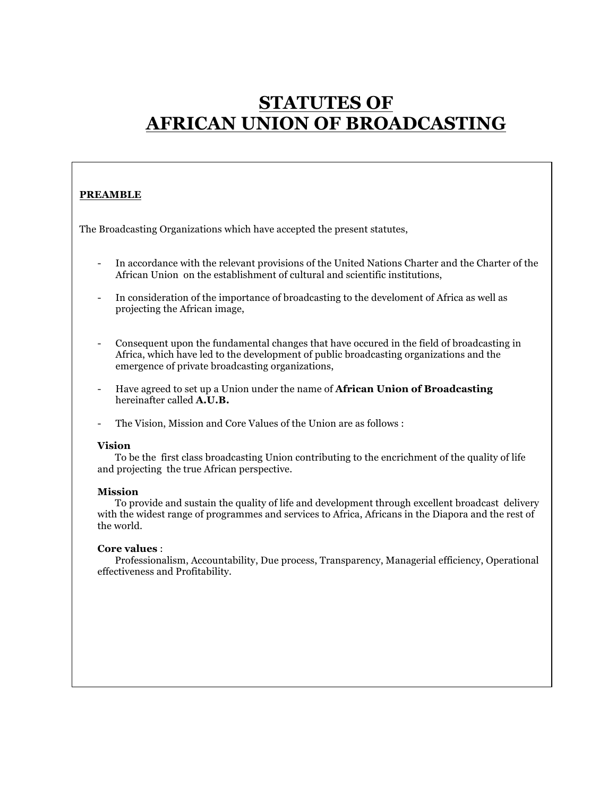# **STATUTES OF AFRICAN UNION OF BROADCASTING**

## **PREAMBLE**

The Broadcasting Organizations which have accepted the present statutes,

- In accordance with the relevant provisions of the United Nations Charter and the Charter of the African Union on the establishment of cultural and scientific institutions,
- In consideration of the importance of broadcasting to the develoment of Africa as well as projecting the African image,
- Consequent upon the fundamental changes that have occured in the field of broadcasting in Africa, which have led to the development of public broadcasting organizations and the emergence of private broadcasting organizations,
- Have agreed to set up a Union under the name of **African Union of Broadcasting**  hereinafter called **A.U.B.**
- The Vision, Mission and Core Values of the Union are as follows :

#### **Vision**

To be the first class broadcasting Union contributing to the encrichment of the quality of life and projecting the true African perspective.

#### **Mission**

To provide and sustain the quality of life and development through excellent broadcast delivery with the widest range of programmes and services to Africa, Africans in the Diapora and the rest of the world.

#### **Core values** :

Professionalism, Accountability, Due process, Transparency, Managerial efficiency, Operational effectiveness and Profitability.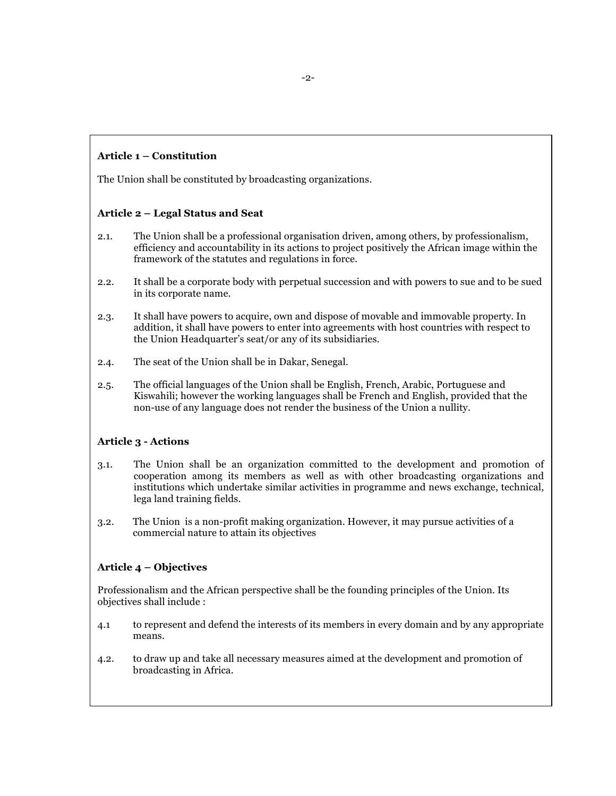## **Article 1 – Constitution**

The Union shall be constituted by broadcasting organizations.

#### **Article 2 – Legal Status and Seat**

- 2.1. The Union shall be a professional organisation driven, among others, by professionalism, efficiency and accountability in its actions to project positively the African image within the framework of the statutes and regulations in force.
- 2.2. It shall be a corporate body with perpetual succession and with powers to sue and to be sued in its corporate name.
- 2.3. It shall have powers to acquire, own and dispose of movable and immovable property. In addition, it shall have powers to enter into agreements with host countries with respect to the Union Headquarter's seat/or any of its subsidiaries.
- 2.4. The seat of the Union shall be in Dakar, Senegal.
- 2.5. The official languages of the Union shall be English, French, Arabic, Portuguese and Kiswahili; however the working languages shall be French and English, provided that the non-use of any language does not render the business of the Union a nullity.

#### **Article 3 - Actions**

- 3.1. The Union shall be an organization committed to the development and promotion of cooperation among its members as well as with other broadcasting organizations and institutions which undertake similar activities in programme and news exchange, technical, lega land training fields.
- 3.2. The Union is a non-profit making organization. However, it may pursue activities of a commercial nature to attain its objectives

#### **Article 4 – Objectives**

Professionalism and the African perspective shall be the founding principles of the Union. Its objectives shall include :

- 4.1 to represent and defend the interests of its members in every domain and by any appropriate means.
- 4.2. to draw up and take all necessary measures aimed at the development and promotion of broadcasting in Africa.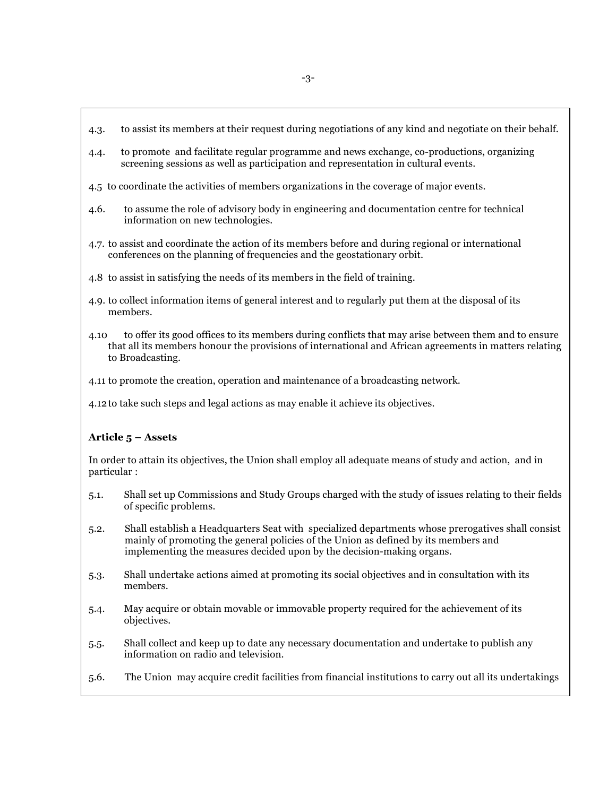- 4.3. to assist its members at their request during negotiations of any kind and negotiate on their behalf.
- 4.4. to promote and facilitate regular programme and news exchange, co-productions, organizing screening sessions as well as participation and representation in cultural events.
- 4.5 to coordinate the activities of members organizations in the coverage of major events.
- 4.6. to assume the role of advisory body in engineering and documentation centre for technical information on new technologies.
- 4.7. to assist and coordinate the action of its members before and during regional or international conferences on the planning of frequencies and the geostationary orbit.
- 4.8 to assist in satisfying the needs of its members in the field of training.
- 4.9. to collect information items of general interest and to regularly put them at the disposal of its members.
- 4.10 to offer its good offices to its members during conflicts that may arise between them and to ensure that all its members honour the provisions of international and African agreements in matters relating to Broadcasting.
- 4.11 to promote the creation, operation and maintenance of a broadcasting network.

4.12to take such steps and legal actions as may enable it achieve its objectives.

#### **Article 5 – Assets**

In order to attain its objectives, the Union shall employ all adequate means of study and action, and in particular :

- 5.1. Shall set up Commissions and Study Groups charged with the study of issues relating to their fields of specific problems.
- 5.2. Shall establish a Headquarters Seat with specialized departments whose prerogatives shall consist mainly of promoting the general policies of the Union as defined by its members and implementing the measures decided upon by the decision-making organs.
- 5.3. Shall undertake actions aimed at promoting its social objectives and in consultation with its members.
- 5.4. May acquire or obtain movable or immovable property required for the achievement of its objectives.
- 5.5. Shall collect and keep up to date any necessary documentation and undertake to publish any information on radio and television.
- 5.6. The Union may acquire credit facilities from financial institutions to carry out all its undertakings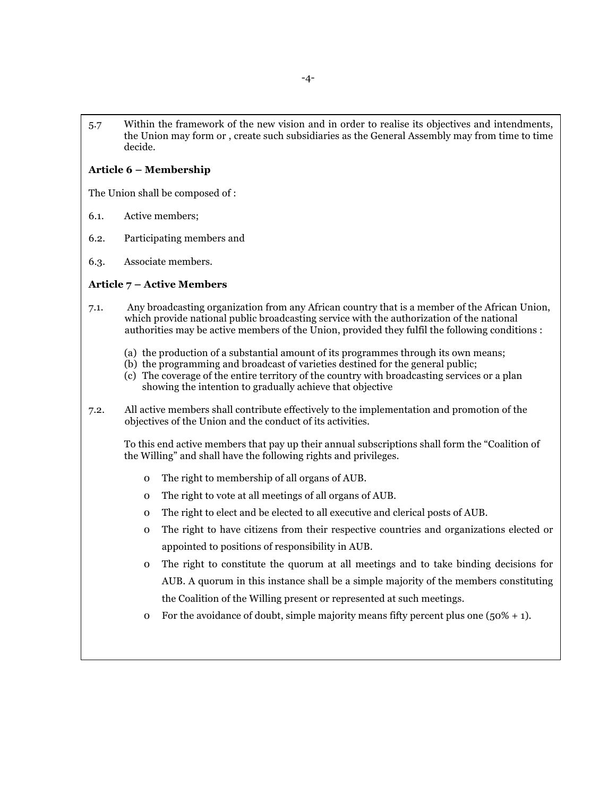5.7 Within the framework of the new vision and in order to realise its objectives and intendments, the Union may form or , create such subsidiaries as the General Assembly may from time to time decide.

#### **Article 6 – Membership**

The Union shall be composed of :

- 6.1. Active members;
- 6.2. Participating members and
- 6.3. Associate members.

## **Article 7 – Active Members**

- 7.1. Any broadcasting organization from any African country that is a member of the African Union, which provide national public broadcasting service with the authorization of the national authorities may be active members of the Union, provided they fulfil the following conditions :
	- (a) the production of a substantial amount of its programmes through its own means;
	- (b) the programming and broadcast of varieties destined for the general public;
	- (c) The coverage of the entire territory of the country with broadcasting services or a plan showing the intention to gradually achieve that objective
- 7.2. All active members shall contribute effectively to the implementation and promotion of the objectives of the Union and the conduct of its activities.

To this end active members that pay up their annual subscriptions shall form the "Coalition of the Willing" and shall have the following rights and privileges.

- 0 The right to membership of all organs of AUB.
- 0 The right to vote at all meetings of all organs of AUB.
- 0 The right to elect and be elected to all executive and clerical posts of AUB.
- 0 The right to have citizens from their respective countries and organizations elected or appointed to positions of responsibility in AUB.
- 0 The right to constitute the quorum at all meetings and to take binding decisions for AUB. A quorum in this instance shall be a simple majority of the members constituting the Coalition of the Willing present or represented at such meetings.
- o For the avoidance of doubt, simple majority means fifty percent plus one  $(50\% + 1)$ .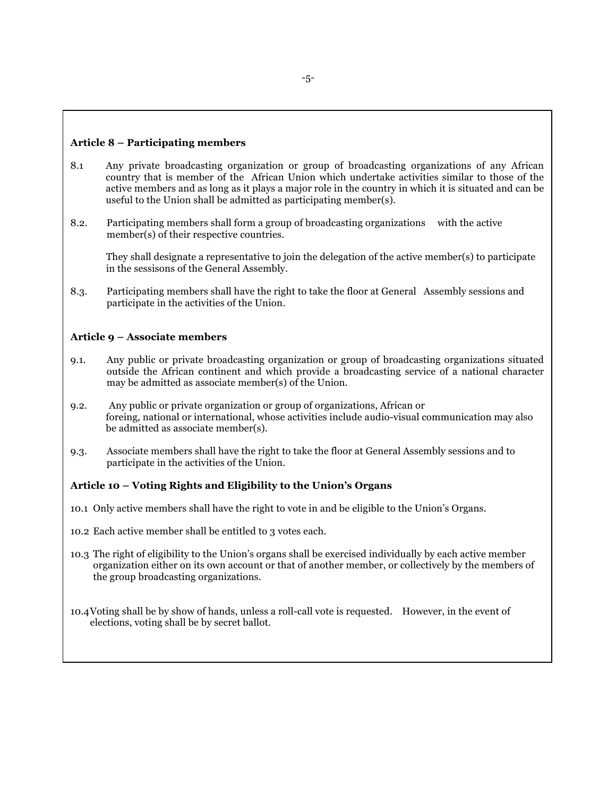#### **Article 8 – Participating members**

- 8.1 Any private broadcasting organization or group of broadcasting organizations of any African country that is member of the African Union which undertake activities similar to those of the active members and as long as it plays a major role in the country in which it is situated and can be useful to the Union shall be admitted as participating member(s).
- 8.2. Participating members shall form a group of broadcasting organizations with the active member(s) of their respective countries.

They shall designate a representative to join the delegation of the active member(s) to participate in the sessisons of the General Assembly.

8.3. Participating members shall have the right to take the floor at General Assembly sessions and participate in the activities of the Union.

#### **Article 9 – Associate members**

- 9.1. Any public or private broadcasting organization or group of broadcasting organizations situated outside the African continent and which provide a broadcasting service of a national character may be admitted as associate member(s) of the Union.
- 9.2. Any public or private organization or group of organizations, African or foreing, national or international, whose activities include audio-visual communication may also be admitted as associate member(s).
- 9.3. Associate members shall have the right to take the floor at General Assembly sessions and to participate in the activities of the Union.

#### **Article 10 – Voting Rights and Eligibility to the Union's Organs**

- 10.1 Only active members shall have the right to vote in and be eligible to the Union's Organs.
- 10.2 Each active member shall be entitled to 3 votes each.
- 10.3 The right of eligibility to the Union's organs shall be exercised individually by each active member organization either on its own account or that of another member, or collectively by the members of the group broadcasting organizations.

10.4Voting shall be by show of hands, unless a roll-call vote is requested. However, in the event of elections, voting shall be by secret ballot.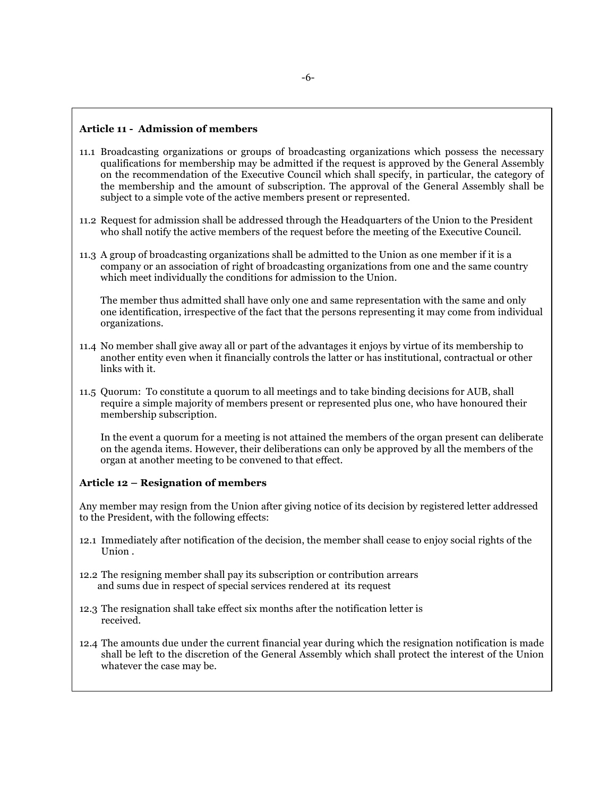#### **Article 11 - Admission of members**

- 11.1 Broadcasting organizations or groups of broadcasting organizations which possess the necessary qualifications for membership may be admitted if the request is approved by the General Assembly on the recommendation of the Executive Council which shall specify, in particular, the category of the membership and the amount of subscription. The approval of the General Assembly shall be subject to a simple vote of the active members present or represented.
- 11.2 Request for admission shall be addressed through the Headquarters of the Union to the President who shall notify the active members of the request before the meeting of the Executive Council.
- 11.3 A group of broadcasting organizations shall be admitted to the Union as one member if it is a company or an association of right of broadcasting organizations from one and the same country which meet individually the conditions for admission to the Union.

The member thus admitted shall have only one and same representation with the same and only one identification, irrespective of the fact that the persons representing it may come from individual organizations.

- 11.4 No member shall give away all or part of the advantages it enjoys by virtue of its membership to another entity even when it financially controls the latter or has institutional, contractual or other links with it.
- 11.5 Quorum: To constitute a quorum to all meetings and to take binding decisions for AUB, shall require a simple majority of members present or represented plus one, who have honoured their membership subscription.

In the event a quorum for a meeting is not attained the members of the organ present can deliberate on the agenda items. However, their deliberations can only be approved by all the members of the organ at another meeting to be convened to that effect.

#### **Article 12 – Resignation of members**

Any member may resign from the Union after giving notice of its decision by registered letter addressed to the President, with the following effects:

- 12.1 Immediately after notification of the decision, the member shall cease to enjoy social rights of the Union .
- 12.2 The resigning member shall pay its subscription or contribution arrears and sums due in respect of special services rendered at its request
- 12.3 The resignation shall take effect six months after the notification letter is received.
- 12.4 The amounts due under the current financial year during which the resignation notification is made shall be left to the discretion of the General Assembly which shall protect the interest of the Union whatever the case may be.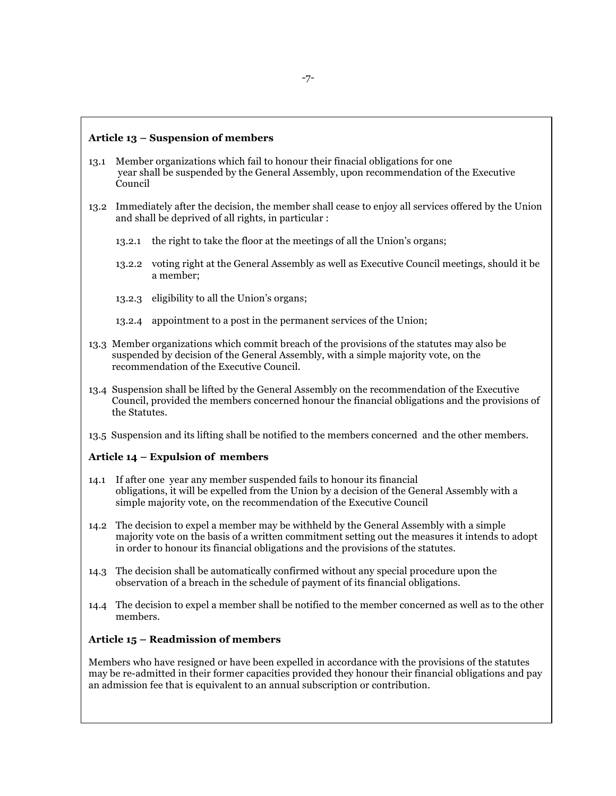#### **Article 13 – Suspension of members**

- 13.1 Member organizations which fail to honour their finacial obligations for one year shall be suspended by the General Assembly, upon recommendation of the Executive Council
- 13.2 Immediately after the decision, the member shall cease to enjoy all services offered by the Union and shall be deprived of all rights, in particular :
	- 13.2.1 the right to take the floor at the meetings of all the Union's organs;
	- 13.2.2 voting right at the General Assembly as well as Executive Council meetings, should it be a member;
	- 13.2.3 eligibility to all the Union's organs;
	- 13.2.4 appointment to a post in the permanent services of the Union;
- 13.3 Member organizations which commit breach of the provisions of the statutes may also be suspended by decision of the General Assembly, with a simple majority vote, on the recommendation of the Executive Council.
- 13.4 Suspension shall be lifted by the General Assembly on the recommendation of the Executive Council, provided the members concerned honour the financial obligations and the provisions of the Statutes.
- 13.5 Suspension and its lifting shall be notified to the members concerned and the other members.

## **Article 14 – Expulsion of members**

- 14.1 If after one year any member suspended fails to honour its financial obligations, it will be expelled from the Union by a decision of the General Assembly with a simple majority vote, on the recommendation of the Executive Council
- 14.2 The decision to expel a member may be withheld by the General Assembly with a simple majority vote on the basis of a written commitment setting out the measures it intends to adopt in order to honour its financial obligations and the provisions of the statutes.
- 14.3 The decision shall be automatically confirmed without any special procedure upon the observation of a breach in the schedule of payment of its financial obligations.
- 14.4 The decision to expel a member shall be notified to the member concerned as well as to the other members.

#### **Article 15 – Readmission of members**

Members who have resigned or have been expelled in accordance with the provisions of the statutes may be re-admitted in their former capacities provided they honour their financial obligations and pay an admission fee that is equivalent to an annual subscription or contribution.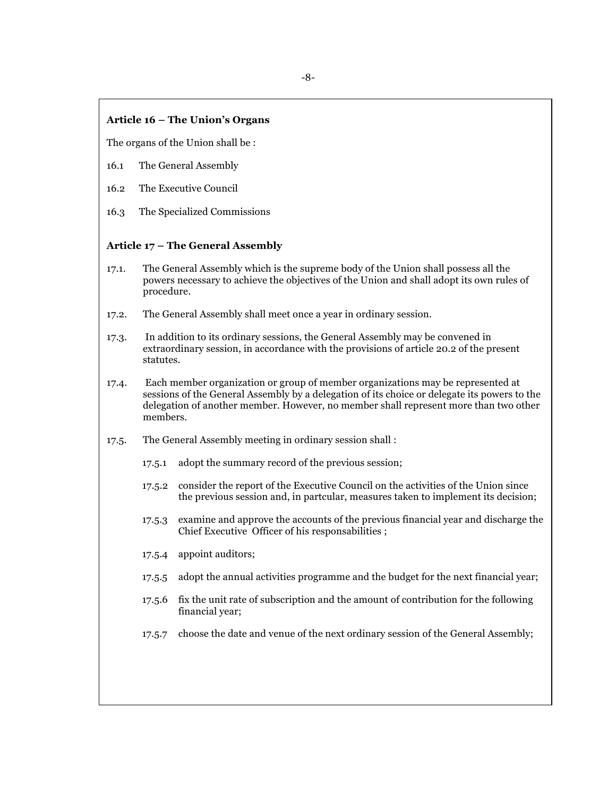#### **Article 16 – The Union's Organs**

The organs of the Union shall be :

- 16.1 The General Assembly
- 16.2 The Executive Council
- 16.3 The Specialized Commissions

#### **Article 17 – The General Assembly**

- 17.1. The General Assembly which is the supreme body of the Union shall possess all the powers necessary to achieve the objectives of the Union and shall adopt its own rules of procedure.
- 17.2. The General Assembly shall meet once a year in ordinary session.
- 17.3. In addition to its ordinary sessions, the General Assembly may be convened in extraordinary session, in accordance with the provisions of article 20.2 of the present statutes.
- 17.4. Each member organization or group of member organizations may be represented at sessions of the General Assembly by a delegation of its choice or delegate its powers to the delegation of another member. However, no member shall represent more than two other members.
- 17.5. The General Assembly meeting in ordinary session shall :
	- 17.5.1 adopt the summary record of the previous session;
	- 17.5.2 consider the report of the Executive Council on the activities of the Union since the previous session and, in partcular, measures taken to implement its decision;
	- 17.5.3 examine and approve the accounts of the previous financial year and discharge the Chief Executive Officer of his responsabilities ;
	- 17.5.4 appoint auditors;
	- 17.5.5 adopt the annual activities programme and the budget for the next financial year;
	- 17.5.6 fix the unit rate of subscription and the amount of contribution for the following financial year;
	- 17.5.7 choose the date and venue of the next ordinary session of the General Assembly;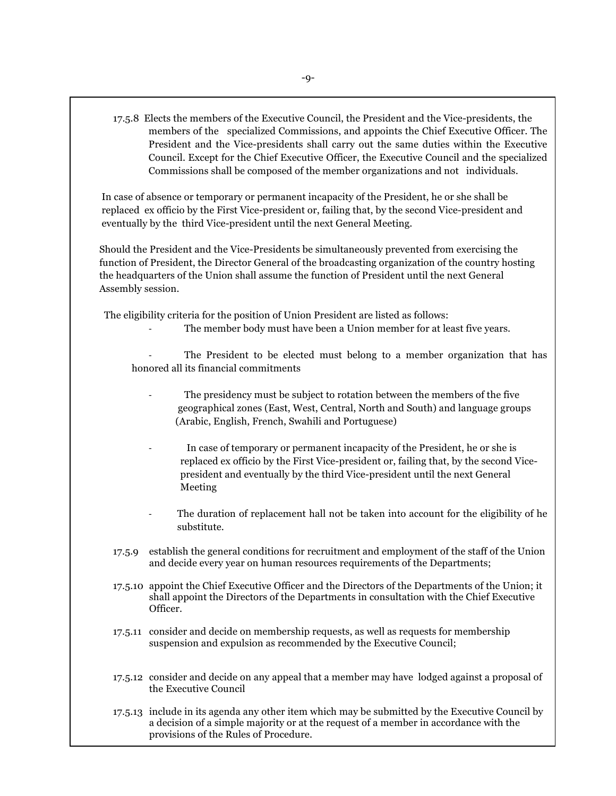17.5.8 Elects the members of the Executive Council, the President and the Vice-presidents, the members of the specialized Commissions, and appoints the Chief Executive Officer. The President and the Vice-presidents shall carry out the same duties within the Executive Council. Except for the Chief Executive Officer, the Executive Council and the specialized Commissions shall be composed of the member organizations and not individuals.

 In case of absence or temporary or permanent incapacity of the President, he or she shall be replaced ex officio by the First Vice-president or, failing that, by the second Vice-president and eventually by the third Vice-president until the next General Meeting.

 Should the President and the Vice-Presidents be simultaneously prevented from exercising the function of President, the Director General of the broadcasting organization of the country hosting the headquarters of the Union shall assume the function of President until the next General Assembly session.

The eligibility criteria for the position of Union President are listed as follows:

The member body must have been a Union member for at least five years.

The President to be elected must belong to a member organization that has honored all its financial commitments

- The presidency must be subject to rotation between the members of the five geographical zones (East, West, Central, North and South) and language groups (Arabic, English, French, Swahili and Portuguese)
- In case of temporary or permanent incapacity of the President, he or she is replaced ex officio by the First Vice-president or, failing that, by the second Vice president and eventually by the third Vice-president until the next General Meeting
- The duration of replacement hall not be taken into account for the eligibility of he substitute.
- 17.5.9 establish the general conditions for recruitment and employment of the staff of the Union and decide every year on human resources requirements of the Departments;
- 17.5.10 appoint the Chief Executive Officer and the Directors of the Departments of the Union; it shall appoint the Directors of the Departments in consultation with the Chief Executive Officer.
- 17.5.11 consider and decide on membership requests, as well as requests for membership suspension and expulsion as recommended by the Executive Council;
- 17.5.12 consider and decide on any appeal that a member may have lodged against a proposal of the Executive Council

17.5.13 include in its agenda any other item which may be submitted by the Executive Council by a decision of a simple majority or at the request of a member in accordance with the provisions of the Rules of Procedure.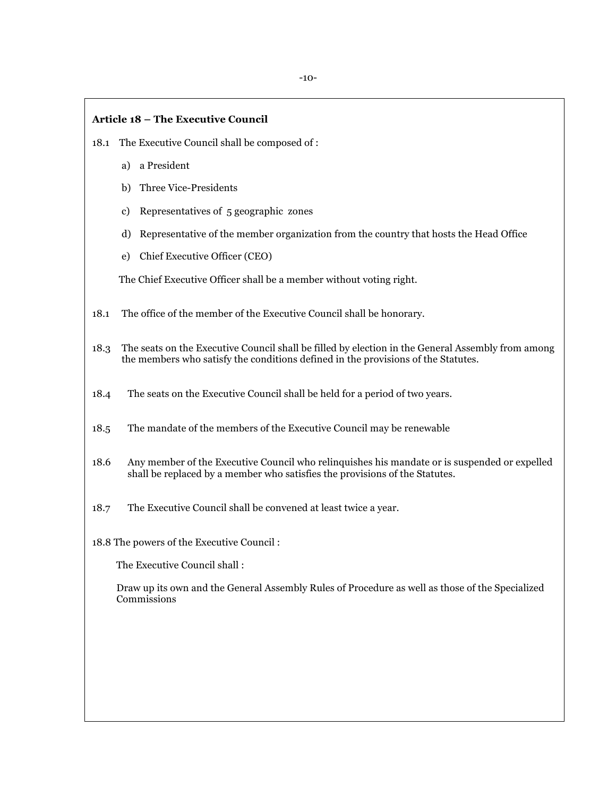#### **Article 18 – The Executive Council**

- 18.1 The Executive Council shall be composed of :
	- a) a President
	- b) Three Vice-Presidents
	- c) Representatives of 5 geographic zones
	- d) Representative of the member organization from the country that hosts the Head Office
	- e) Chief Executive Officer (CEO)

The Chief Executive Officer shall be a member without voting right.

- 18.1 The office of the member of the Executive Council shall be honorary.
- 18.3 The seats on the Executive Council shall be filled by election in the General Assembly from among the members who satisfy the conditions defined in the provisions of the Statutes.
- 18.4 The seats on the Executive Council shall be held for a period of two years.
- 18.5 The mandate of the members of the Executive Council may be renewable
- 18.6 Any member of the Executive Council who relinquishes his mandate or is suspended or expelled shall be replaced by a member who satisfies the provisions of the Statutes.
- 18.7 The Executive Council shall be convened at least twice a year.

18.8 The powers of the Executive Council :

The Executive Council shall :

 Draw up its own and the General Assembly Rules of Procedure as well as those of the Specialized Commissions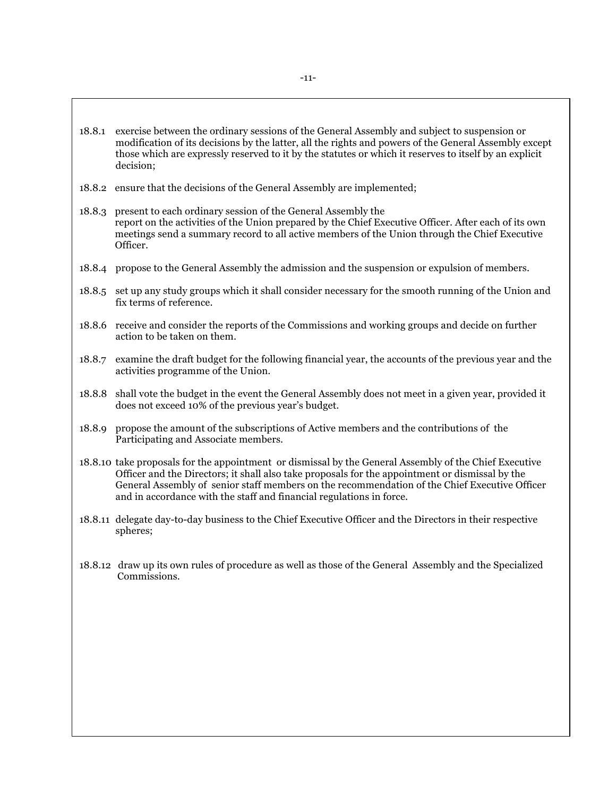- 18.8.1 exercise between the ordinary sessions of the General Assembly and subject to suspension or modification of its decisions by the latter, all the rights and powers of the General Assembly except those which are expressly reserved to it by the statutes or which it reserves to itself by an explicit decision;
- 18.8.2 ensure that the decisions of the General Assembly are implemented;
- 18.8.3 present to each ordinary session of the General Assembly the report on the activities of the Union prepared by the Chief Executive Officer. After each of its own meetings send a summary record to all active members of the Union through the Chief Executive Officer.
- 18.8.4 propose to the General Assembly the admission and the suspension or expulsion of members.
- 18.8.5 set up any study groups which it shall consider necessary for the smooth running of the Union and fix terms of reference.
- 18.8.6 receive and consider the reports of the Commissions and working groups and decide on further action to be taken on them.
- 18.8.7 examine the draft budget for the following financial year, the accounts of the previous year and the activities programme of the Union.
- 18.8.8 shall vote the budget in the event the General Assembly does not meet in a given year, provided it does not exceed 10% of the previous year's budget.
- 18.8.9 propose the amount of the subscriptions of Active members and the contributions of the Participating and Associate members.
- 18.8.10 take proposals for the appointment or dismissal by the General Assembly of the Chief Executive Officer and the Directors; it shall also take proposals for the appointment or dismissal by the General Assembly of senior staff members on the recommendation of the Chief Executive Officer and in accordance with the staff and financial regulations in force.
- 18.8.11 delegate day-to-day business to the Chief Executive Officer and the Directors in their respective spheres;
- 18.8.12 draw up its own rules of procedure as well as those of the General Assembly and the Specialized Commissions.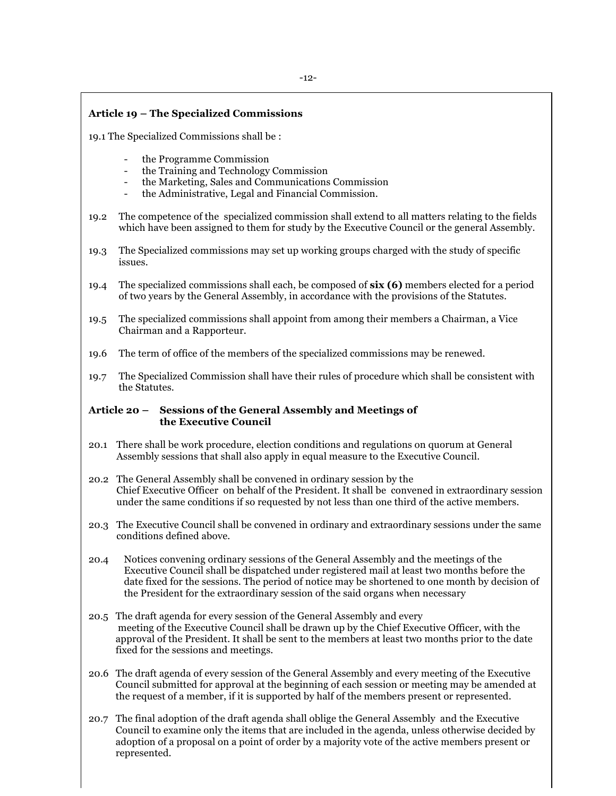#### **Article 19 – The Specialized Commissions**

- 19.1 The Specialized Commissions shall be :
	- the Programme Commission
	- the Training and Technology Commission
	- the Marketing, Sales and Communications Commission
	- the Administrative, Legal and Financial Commission.
- 19.2 The competence of the specialized commission shall extend to all matters relating to the fields which have been assigned to them for study by the Executive Council or the general Assembly.
- 19.3 The Specialized commissions may set up working groups charged with the study of specific issues.
- 19.4 The specialized commissions shall each, be composed of **six (6)** members elected for a period of two years by the General Assembly, in accordance with the provisions of the Statutes.
- 19.5 The specialized commissions shall appoint from among their members a Chairman, a Vice Chairman and a Rapporteur.
- 19.6 The term of office of the members of the specialized commissions may be renewed.
- 19.7 The Specialized Commission shall have their rules of procedure which shall be consistent with the Statutes.

#### **Article 20 – Sessions of the General Assembly and Meetings of the Executive Council**

- 20.1 There shall be work procedure, election conditions and regulations on quorum at General Assembly sessions that shall also apply in equal measure to the Executive Council.
- 20.2 The General Assembly shall be convened in ordinary session by the Chief Executive Officer on behalf of the President. It shall be convened in extraordinary session under the same conditions if so requested by not less than one third of the active members.
- 20.3 The Executive Council shall be convened in ordinary and extraordinary sessions under the same conditions defined above.
- 20.4 Notices convening ordinary sessions of the General Assembly and the meetings of the Executive Council shall be dispatched under registered mail at least two months before the date fixed for the sessions. The period of notice may be shortened to one month by decision of the President for the extraordinary session of the said organs when necessary
- 20.5 The draft agenda for every session of the General Assembly and every meeting of the Executive Council shall be drawn up by the Chief Executive Officer, with the approval of the President. It shall be sent to the members at least two months prior to the date fixed for the sessions and meetings.
- 20.6 The draft agenda of every session of the General Assembly and every meeting of the Executive Council submitted for approval at the beginning of each session or meeting may be amended at the request of a member, if it is supported by half of the members present or represented.
- 20.7 The final adoption of the draft agenda shall oblige the General Assembly and the Executive Council to examine only the items that are included in the agenda, unless otherwise decided by adoption of a proposal on a point of order by a majority vote of the active members present or represented.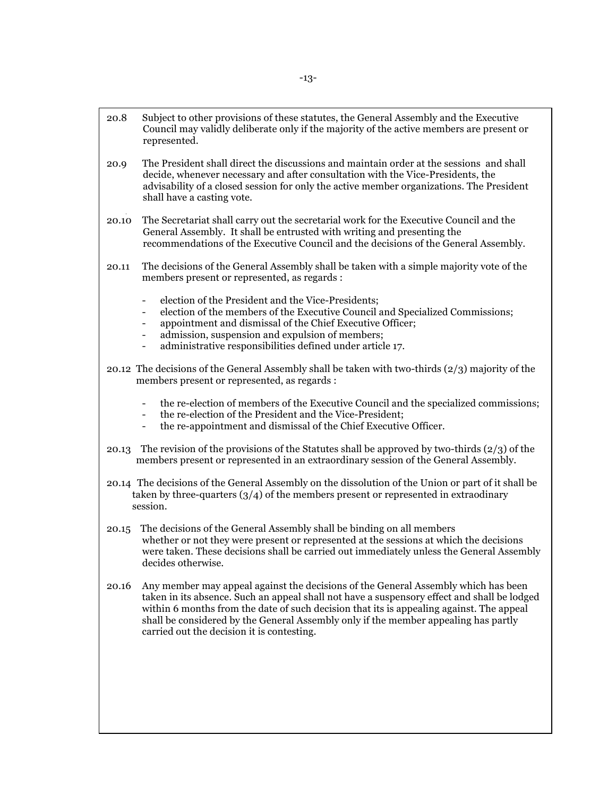- 20.8 Subject to other provisions of these statutes, the General Assembly and the Executive Council may validly deliberate only if the majority of the active members are present or represented.
- 20.9 The President shall direct the discussions and maintain order at the sessions and shall decide, whenever necessary and after consultation with the Vice-Presidents, the advisability of a closed session for only the active member organizations. The President shall have a casting vote.
- 20.10 The Secretariat shall carry out the secretarial work for the Executive Council and the General Assembly. It shall be entrusted with writing and presenting the recommendations of the Executive Council and the decisions of the General Assembly.
- 20.11 The decisions of the General Assembly shall be taken with a simple majority vote of the members present or represented, as regards :
	- election of the President and the Vice-Presidents;
	- election of the members of the Executive Council and Specialized Commissions;
	- appointment and dismissal of the Chief Executive Officer;
	- admission, suspension and expulsion of members;
	- administrative responsibilities defined under article 17.
- 20.12 The decisions of the General Assembly shall be taken with two-thirds (2/3) majority of the members present or represented, as regards :
	- the re-election of members of the Executive Council and the specialized commissions;
	- the re-election of the President and the Vice-President;
	- the re-appointment and dismissal of the Chief Executive Officer.
- 20.13 The revision of the provisions of the Statutes shall be approved by two-thirds (2/3) of the members present or represented in an extraordinary session of the General Assembly.
- 20.14 The decisions of the General Assembly on the dissolution of the Union or part of it shall be taken by three-quarters  $\left(\frac{3}{4}\right)$  of the members present or represented in extraodinary session.
- 20.15 The decisions of the General Assembly shall be binding on all members whether or not they were present or represented at the sessions at which the decisions were taken. These decisions shall be carried out immediately unless the General Assembly decides otherwise.
- 20.16 Any member may appeal against the decisions of the General Assembly which has been taken in its absence. Such an appeal shall not have a suspensory effect and shall be lodged within 6 months from the date of such decision that its is appealing against. The appeal shall be considered by the General Assembly only if the member appealing has partly carried out the decision it is contesting.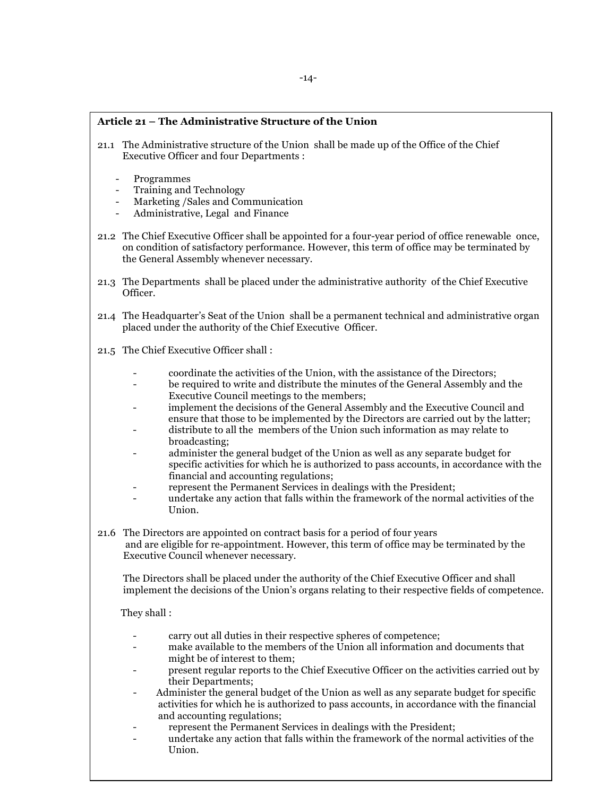## **Article 21 – The Administrative Structure of the Union**

- 21.1 The Administrative structure of the Union shall be made up of the Office of the Chief Executive Officer and four Departments :
	- Programmes
	- Training and Technology
	- Marketing /Sales and Communication
	- Administrative, Legal and Finance
- 21.2 The Chief Executive Officer shall be appointed for a four-year period of office renewable once, on condition of satisfactory performance. However, this term of office may be terminated by the General Assembly whenever necessary.
- 21.3 The Departments shall be placed under the administrative authority of the Chief Executive Officer.
- 21.4 The Headquarter's Seat of the Union shall be a permanent technical and administrative organ placed under the authority of the Chief Executive Officer.
- 21.5 The Chief Executive Officer shall :
	- coordinate the activities of the Union, with the assistance of the Directors;
	- be required to write and distribute the minutes of the General Assembly and the Executive Council meetings to the members;
	- implement the decisions of the General Assembly and the Executive Council and ensure that those to be implemented by the Directors are carried out by the latter;
	- distribute to all the members of the Union such information as may relate to broadcasting;
	- administer the general budget of the Union as well as any separate budget for specific activities for which he is authorized to pass accounts, in accordance with the financial and accounting regulations;
	- represent the Permanent Services in dealings with the President;
	- undertake any action that falls within the framework of the normal activities of the Union.
- 21.6 The Directors are appointed on contract basis for a period of four years and are eligible for re-appointment. However, this term of office may be terminated by the Executive Council whenever necessary.

The Directors shall be placed under the authority of the Chief Executive Officer and shall implement the decisions of the Union's organs relating to their respective fields of competence.

They shall :

- carry out all duties in their respective spheres of competence;
- make available to the members of the Union all information and documents that might be of interest to them;
- present regular reports to the Chief Executive Officer on the activities carried out by their Departments;
- Administer the general budget of the Union as well as any separate budget for specific activities for which he is authorized to pass accounts, in accordance with the financial and accounting regulations;
- represent the Permanent Services in dealings with the President;
- undertake any action that falls within the framework of the normal activities of the Union.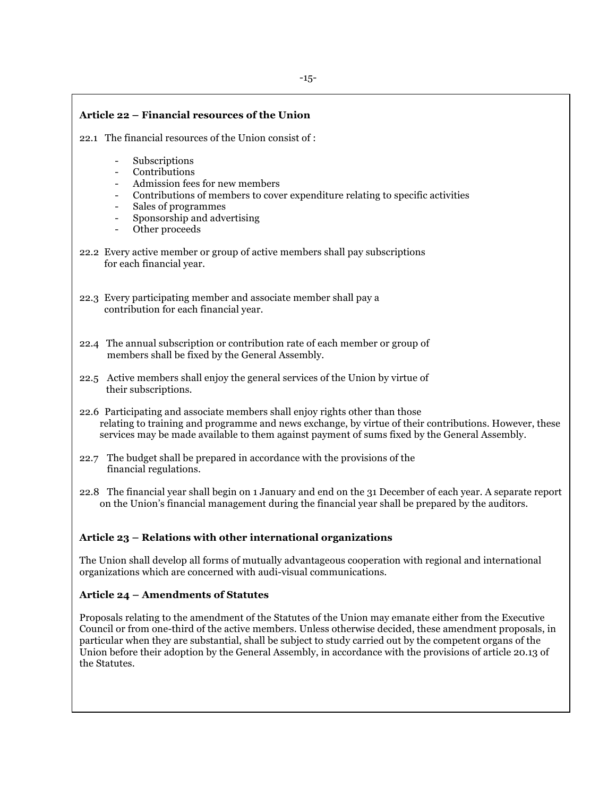## **Article 22 – Financial resources of the Union** 22.1 The financial resources of the Union consist of : **Subscriptions Contributions** Admission fees for new members - Contributions of members to cover expenditure relating to specific activities - Sales of programmes - Sponsorship and advertising Other proceeds 22.2 Every active member or group of active members shall pay subscriptions for each financial year. 22.3 Every participating member and associate member shall pay a contribution for each financial year. 22.4 The annual subscription or contribution rate of each member or group of members shall be fixed by the General Assembly. 22.5 Active members shall enjoy the general services of the Union by virtue of their subscriptions. 22.6 Participating and associate members shall enjoy rights other than those relating to training and programme and news exchange, by virtue of their contributions. However, these services may be made available to them against payment of sums fixed by the General Assembly. 22.7 The budget shall be prepared in accordance with the provisions of the financial regulations. 22.8 The financial year shall begin on 1 January and end on the 31 December of each year. A separate report on the Union's financial management during the financial year shall be prepared by the auditors. **Article 23 – Relations with other international organizations** The Union shall develop all forms of mutually advantageous cooperation with regional and international organizations which are concerned with audi-visual communications. **Article 24 – Amendments of Statutes** Proposals relating to the amendment of the Statutes of the Union may emanate either from the Executive

Council or from one-third of the active members. Unless otherwise decided, these amendment proposals, in particular when they are substantial, shall be subject to study carried out by the competent organs of the Union before their adoption by the General Assembly, in accordance with the provisions of article 20.13 of the Statutes.